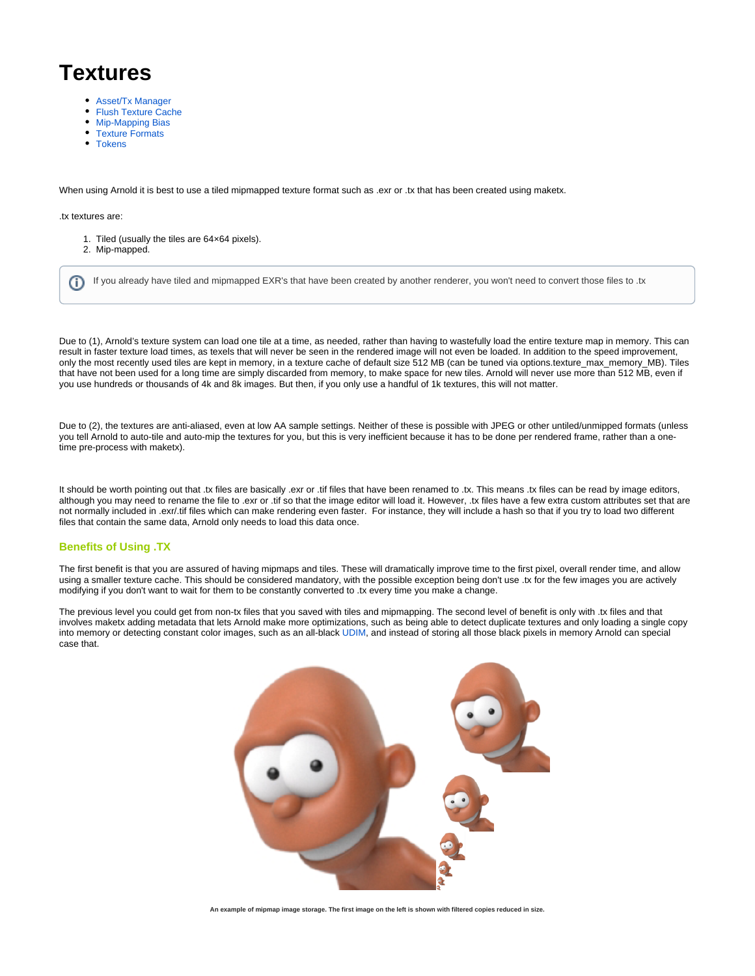## **Textures**

- [Asset/Tx Manager](https://docs.arnoldrenderer.com/pages/viewpage.action?pageId=39715145)
- [Flush Texture Cache](https://docs.arnoldrenderer.com/display/A5AFCUG/Flush+Texture+Cache)
- [Mip-Mapping Bias](https://docs.arnoldrenderer.com/display/A5AFCUG/Mip-Mapping+Bias)
- [Texture Formats](https://docs.arnoldrenderer.com/display/A5AFCUG/Texture+Formats)
- [Tokens](https://docs.arnoldrenderer.com/display/A5AFCUG/Tokens)

When using Arnold it is best to use a tiled mipmapped texture format such as .exr or .tx that has been created using maketx.

## .tx textures are:

- 1. Tiled (usually the tiles are 64×64 pixels).
- 2. Mip-mapped.

ന If you already have tiled and mipmapped EXR's that have been created by another renderer, you won't need to convert those files to .tx

Due to (1), Arnold's texture system can load one tile at a time, as needed, rather than having to wastefully load the entire texture map in memory. This can result in faster texture load times, as texels that will never be seen in the rendered image will not even be loaded. In addition to the speed improvement, only the most recently used tiles are kept in memory, in a texture cache of default size 512 MB (can be tuned via options.texture\_max\_memory\_MB). Tiles that have not been used for a long time are simply discarded from memory, to make space for new tiles. Arnold will never use more than 512 MB, even if you use hundreds or thousands of 4k and 8k images. But then, if you only use a handful of 1k textures, this will not matter.

Due to (2), the textures are anti-aliased, even at low AA sample settings. Neither of these is possible with JPEG or other untiled/unmipped formats (unless you tell Arnold to auto-tile and auto-mip the textures for you, but this is very inefficient because it has to be done per rendered frame, rather than a onetime pre-process with maketx).

It should be worth pointing out that .tx files are basically .exr or .tif files that have been renamed to .tx. This means .tx files can be read by image editors, although you may need to rename the file to .exr or .tif so that the image editor will load it. However, .tx files have a few extra custom attributes set that are not normally included in .exr/.tif files which can make rendering even faster. For instance, they will include a hash so that if you try to load two different files that contain the same data, Arnold only needs to load this data once.

## <span id="page-0-0"></span>**[Benefits of Using .TX](#page-0-0)**

The first benefit is that you are assured of having mipmaps and tiles. These will dramatically improve time to the first pixel, overall render time, and allow using a smaller texture cache. This should be considered mandatory, with the possible exception being don't use .tx for the few images you are actively modifying if you don't want to wait for them to be constantly converted to .tx every time you make a change.

The previous level you could get from non-tx files that you saved with tiles and mipmapping. The second level of benefit is only with .tx files and that involves maketx adding metadata that lets Arnold make more optimizations, such as being able to detect duplicate textures and only loading a single copy into memory or detecting constant color images, such as an all-black [UDIM,](https://docs.arnoldrenderer.com/pages/viewpage.action?pageId=55711897) and instead of storing all those black pixels in memory Arnold can special case that.



**An example of mipmap image storage. The first image on the left is shown with filtered copies reduced in size.**